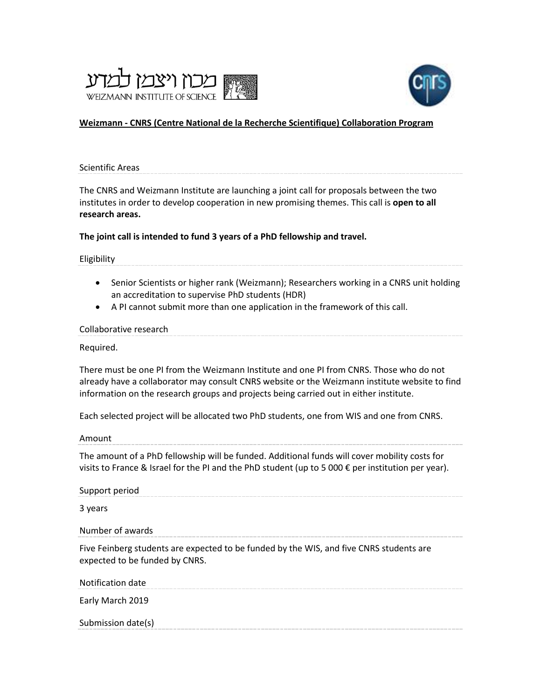



# **Weizmann - [CNRS \(Centre National de la Recherche Scientifique\) Collaboration Program](https://www.weizmann.ac.il/RGP/agency/763/all)**

Scientific Areas

The CNRS and Weizmann Institute are launching a joint call for proposals between the two institutes in order to develop cooperation in new promising themes. This call is **open to all research areas.**

### **The joint call is intended to fund 3 years of a PhD fellowship and travel.**

Eligibility

- Senior Scientists or higher rank (Weizmann); Researchers working in a CNRS unit holding an accreditation to supervise PhD students (HDR)
- A PI cannot submit more than one application in the framework of this call.

#### Collaborative research

Required.

There must be one PI from the Weizmann Institute and one PI from CNRS. Those who do not already have a collaborator may consult [CNRS website](http://www.cnrs.fr/index.html) or the [Weizmann institute website](https://www.weizmann.ac.il/pages/faculties-and-departments) to find information on the research groups and projects being carried out in either institute.

Each selected project will be allocated two PhD students, one from WIS and one from CNRS.

Amount

The amount of a PhD fellowship will be funded. Additional funds will cover mobility costs for visits to France & Israel for the PI and the PhD student (up to 5 000  $\epsilon$  per institution per year).

Support period

3 years

Number of awards

Five Feinberg students are expected to be funded by the WIS, and five CNRS students are expected to be funded by CNRS.

Notification date

Early March 2019

Submission date(s)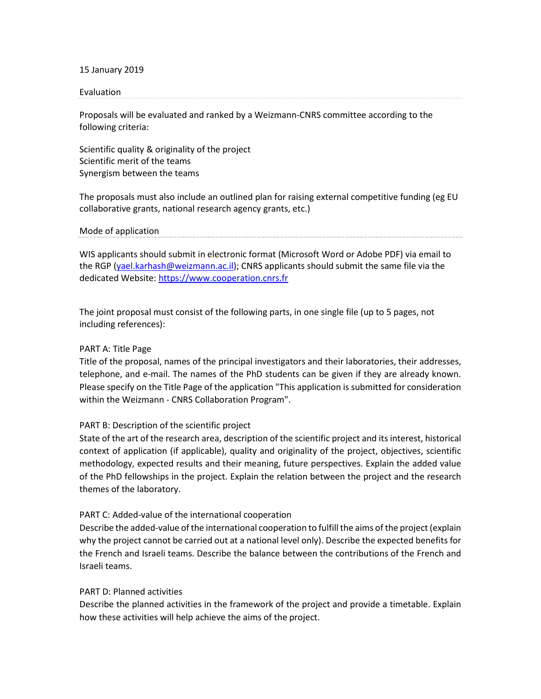15 January 2019

#### Evaluation

Proposals will be evaluated and ranked by a Weizmann-CNRS committee according to the following criteria:

Scientific quality & originality of the project Scientific merit of the teams Synergism between the teams

The proposals must also include an outlined plan for raising external competitive funding (eg EU collaborative grants, national research agency grants, etc.)

Mode of application

WIS applicants should submit in electronic format (Microsoft Word or Adobe PDF) via email to the RGP [\(yael.karhash@weizmann.ac.il\)](mailto:yael.karhash@weizmann.ac.il); CNRS applicants should submit the same file via the dedicated Website: [https://www.cooperation.cnrs.fr](https://www.cooperation.cnrs.fr/)

The joint proposal must consist of the following parts, in one single file (up to 5 pages, not including references):

### PART A: Title Page

Title of the proposal, names of the principal investigators and their laboratories, their addresses, telephone, and e-mail. The names of the PhD students can be given if they are already known. Please specify on the Title Page of the application "This application is submitted for consideration within the Weizmann - CNRS Collaboration Program".

### PART B: Description of the scientific project

State of the art of the research area, description of the scientific project and its interest, historical context of application (if applicable), quality and originality of the project, objectives, scientific methodology, expected results and their meaning, future perspectives. Explain the added value of the PhD fellowships in the project. Explain the relation between the project and the research themes of the laboratory.

### PART C: Added-value of the international cooperation

Describe the added-value of the international cooperation to fulfill the aims of the project (explain why the project cannot be carried out at a national level only). Describe the expected benefits for the French and Israeli teams. Describe the balance between the contributions of the French and Israeli teams.

### PART D: Planned activities

Describe the planned activities in the framework of the project and provide a timetable. Explain how these activities will help achieve the aims of the project.